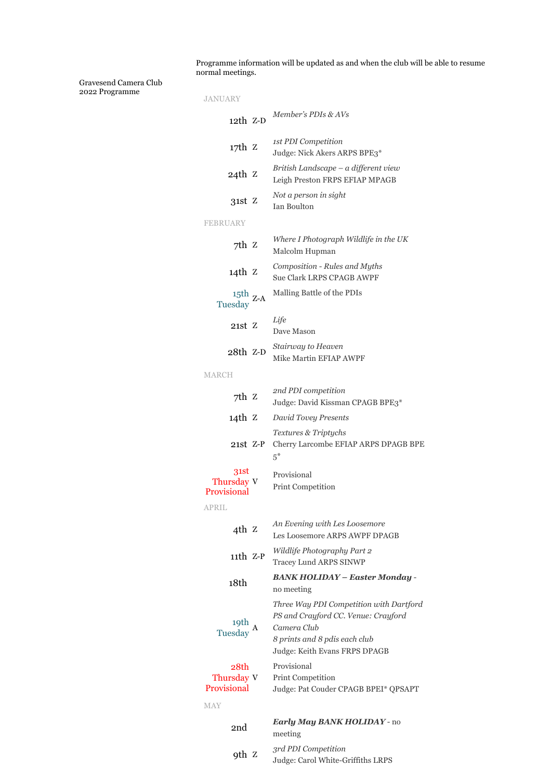Programme information will be updated as and when the club will be able to resume normal meetings.

Gravesend Camera Club 2022 Programme

| JANUARY                                           |                                                                                                                                                                 |
|---------------------------------------------------|-----------------------------------------------------------------------------------------------------------------------------------------------------------------|
| 12th Z-D                                          | Member's PDIs & AVs                                                                                                                                             |
| 17th Z                                            | 1st PDI Competition<br>Judge: Nick Akers ARPS BPE3*                                                                                                             |
| 24th Z                                            | British Landscape - a different view<br>Leigh Preston FRPS EFIAP MPAGB                                                                                          |
| 31st Z                                            | Not a person in sight<br><b>Ian Boulton</b>                                                                                                                     |
| <b>FEBRUARY</b>                                   |                                                                                                                                                                 |
| 7th z                                             | Where I Photograph Wildlife in the UK<br>Malcolm Hupman                                                                                                         |
| 14th Z                                            | Composition - Rules and Myths<br><b>Sue Clark LRPS CPAGB AWPF</b>                                                                                               |
| $^{15\mathrm{th}}$ z-A<br>Tuesday                 | Malling Battle of the PDIs                                                                                                                                      |
| $21st$ Z                                          | Life<br>Dave Mason                                                                                                                                              |
| 28th Z-D                                          | Stairway to Heaven<br>Mike Martin EFIAP AWPF                                                                                                                    |
| <b>MARCH</b>                                      |                                                                                                                                                                 |
| 7th z                                             | 2nd PDI competition<br>Judge: David Kissman CPAGB BPE3*                                                                                                         |
| 14th Z                                            | David Tovey Presents                                                                                                                                            |
| $21st$ $Z-P$                                      | Textures & Triptychs<br>Cherry Larcombe EFIAP ARPS DPAGB BPE<br>$5^*$                                                                                           |
| 31st<br>Thursday V<br>Provisional<br><b>APRIL</b> | Provisional<br>Print Competition                                                                                                                                |
| $4th$ Z                                           | An Evening with Les Loosemore                                                                                                                                   |
| $11th$ Z-P                                        | Les Loosemore ARPS AWPF DPAGB<br>Wildlife Photography Part 2                                                                                                    |
| 18th                                              | <b>Tracey Lund ARPS SINWP</b><br><b>BANK HOLIDAY - Easter Monday -</b>                                                                                          |
|                                                   | no meeting                                                                                                                                                      |
| 19th<br>Tuesday                                   | Three Way PDI Competition with Dartford<br>PS and Crayford CC. Venue: Crayford<br>Camera Club<br>8 prints and 8 pdis each club<br>Judge: Keith Evans FRPS DPAGB |
| 28th<br>Thursday V<br>Provisional                 | Provisional<br><b>Print Competition</b><br>Judge: Pat Couder CPAGB BPEI* QPSAPT                                                                                 |
| <b>MAY</b>                                        |                                                                                                                                                                 |
| 2nd                                               | <b>Early May BANK HOLIDAY - no</b><br>meeting                                                                                                                   |
| 9th z                                             | 3rd PDI Competition                                                                                                                                             |

Judge: Carol White-Griffiths LRPS